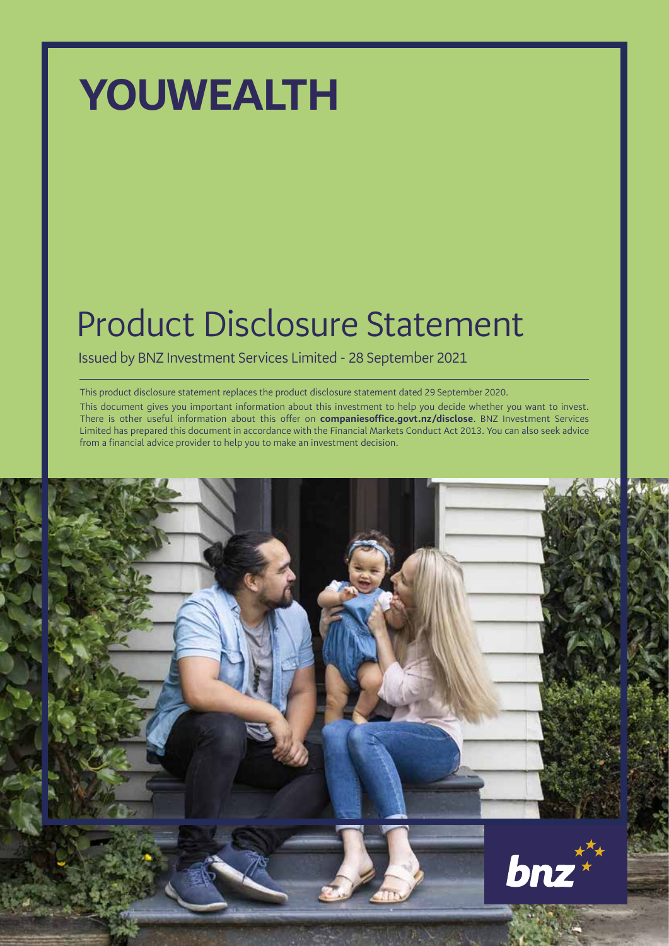# **YOUWEALTH**

# Product Disclosure Statement

Issued by BNZ Investment Services Limited - 28 September 2021

This product disclosure statement replaces the product disclosure statement dated 29 September 2020.

This document gives you important information about this investment to help you decide whether you want to invest. There is other useful information about this offer on **companiesoffice.govt.nz/disclose**. BNZ Investment Services Limited has prepared this document in accordance with the Financial Markets Conduct Act 2013. You can also seek advice from a financial advice provider to help you to make an investment decision.

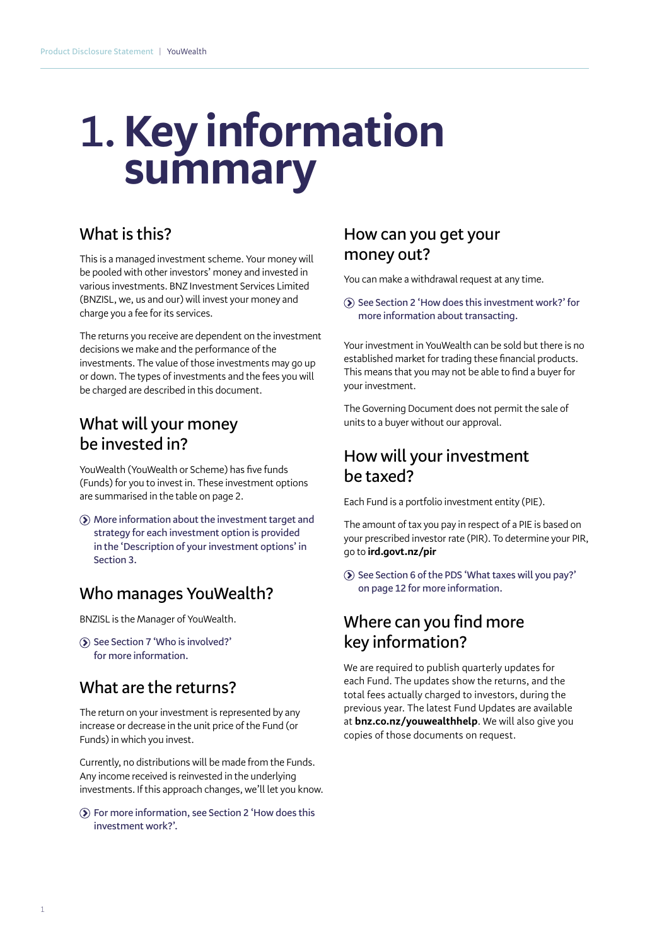# **1.Key information summary**

## **What is this?**

This is a managed investment scheme. Your money will be pooled with other investors' money and invested in various investments. BNZ Investment Services Limited (BNZISL, we, us and our) will invest your money and charge you a fee for its services.

The returns you receive are dependent on the investment decisions we make and the performance of the investments. The value of those investments may go up or down. The types of investments and the fees you will be charged are described in this document.

## **What will your money be invested in?**

YouWealth (YouWealth or Scheme) has five funds (Funds) for you to invest in. These investment options are summarised in the table on page 2.

 **More information about the investment target and strategy for each investment option is provided in the 'Description of your investment options' in Section 3.**

#### **Who manages YouWealth?**

BNZISL is the Manager of YouWealth.

 **See Section 7 'Who is involved?' for more information.**

## **What are the returns?**

The return on your investment is represented by any increase or decrease in the unit price of the Fund (or Funds) in which you invest.

Currently, no distributions will be made from the Funds. Any income received is reinvested in the underlying investments. If this approach changes, we'll let you know.

 **For more information, see Section 2 'How does this investment work?'.**

### **How can you get your money out?**

You can make a withdrawal request at any time.

**See Section 2 'How does this investment work?' for more information about transacting.**

Your investment in YouWealth can be sold but there is no established market for trading these financial products. This means that you may not be able to find a buyer for your investment.

The Governing Document does not permit the sale of units to a buyer without our approval.

## **How will your investment be taxed?**

Each Fund is a portfolio investment entity (PIE).

The amount of tax you pay in respect of a PIE is based on your prescribed investor rate (PIR). To determine your PIR, go to **ird.govt.nz/pir**

 **See Section 6 of the PDS 'What taxes will you pay?' on page 12 for more information.**

## **Where can you find more key information?**

We are required to publish quarterly updates for each Fund. The updates show the returns, and the total fees actually charged to investors, during the previous year. The latest Fund Updates are available at **bnz.co.nz/youwealthhelp**. We will also give you copies of those documents on request.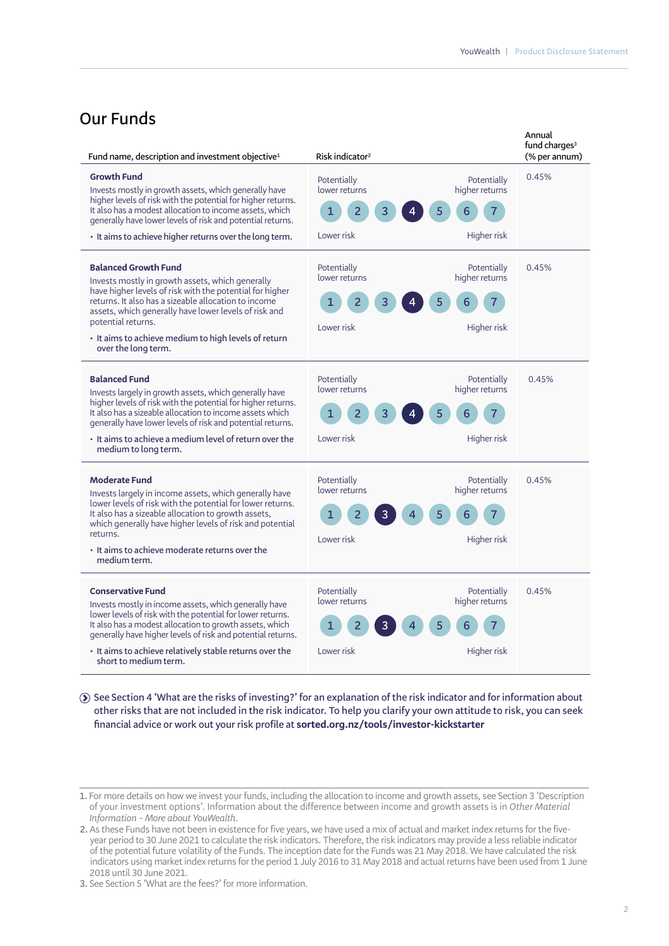#### **Our Funds**

| Fund name, description and investment objective <sup>1</sup>                                                                                                                                                                                                                                                                                                      | Risk indicator <sup>2</sup>                                                                        | Annual<br>fund charges <sup>3</sup><br>(% per annum) |
|-------------------------------------------------------------------------------------------------------------------------------------------------------------------------------------------------------------------------------------------------------------------------------------------------------------------------------------------------------------------|----------------------------------------------------------------------------------------------------|------------------------------------------------------|
| <b>Growth Fund</b><br>Invests mostly in growth assets, which generally have<br>higher levels of risk with the potential for higher returns.<br>It also has a modest allocation to income assets, which<br>generally have lower levels of risk and potential returns.<br>• It aims to achieve higher returns over the long term.                                   | Potentially<br>higher returns<br>lower returns<br>$\overline{2}$<br>1<br>5<br>3<br>6<br>Lower risk | 0.45%<br>Potentially<br>Higher risk                  |
| <b>Balanced Growth Fund</b><br>Invests mostly in growth assets, which generally<br>have higher levels of risk with the potential for higher<br>returns. It also has a sizeable allocation to income<br>assets, which generally have lower levels of risk and<br>potential returns.<br>· It aims to achieve medium to high levels of return<br>over the long term. | Potentially<br>lower returns<br>higher returns<br>1<br>2<br>Lower risk                             | Potentially<br>0.45%<br>Higher risk                  |
| <b>Balanced Fund</b><br>Invests largely in growth assets, which generally have<br>higher levels of risk with the potential for higher returns.<br>It also has a sizeable allocation to income assets which<br>generally have lower levels of risk and potential returns.<br>• It aims to achieve a medium level of return over the<br>medium to long term.        | Potentially<br>lower returns<br>higher returns<br>1<br>2<br>Lower risk                             | Potentially<br>0.45%<br>Higher risk                  |
| <b>Moderate Fund</b><br>Invests largely in income assets, which generally have<br>lower levels of risk with the potential for lower returns.<br>It also has a sizeable allocation to growth assets,<br>which generally have higher levels of risk and potential<br>returns.<br>• It aims to achieve moderate returns over the<br>medium term.                     | Potentially<br>lower returns<br>higher returns<br>1<br>Lower risk                                  | Potentially<br>0.45%<br>Higher risk                  |
| <b>Conservative Fund</b><br>Invests mostly in income assets, which generally have<br>lower levels of risk with the potential for lower returns.<br>It also has a modest allocation to growth assets, which<br>generally have higher levels of risk and potential returns.<br>• It aims to achieve relatively stable returns over the<br>short to medium term.     | Potentially<br>lower returns<br>higher returns<br>1<br>5<br>6<br>Lower risk                        | Potentially<br>0.45%<br>Higher risk                  |

 **See Section 4 'What are the risks of investing?' for an explanation of the risk indicator and for information about other risks that are not included in the risk indicator. To help you clarify your own attitude to risk, you can seek financial advice or work out your risk profile at sorted.org.nz/tools/investor-kickstarter**

**<sup>1.</sup>** For more details on how we invest your funds, including the allocation to income and growth assets, see Section 3 'Description of your investment options'. Information about the difference between income and growth assets is in *Other Material Information – More about YouWealth.*

**<sup>2.</sup>** As these Funds have not been in existence for five years, we have used a mix of actual and market index returns for the fiveyear period to 30 June 2021 to calculate the risk indicators. Therefore, the risk indicators may provide a less reliable indicator of the potential future volatility of the Funds. The inception date for the Funds was 21 May 2018. We have calculated the risk indicators using market index returns for the period 1 July 2016 to 31 May 2018 and actual returns have been used from 1 June 2018 until 30 June 2021.

**<sup>3.</sup>** See Section 5 'What are the fees?' for more information.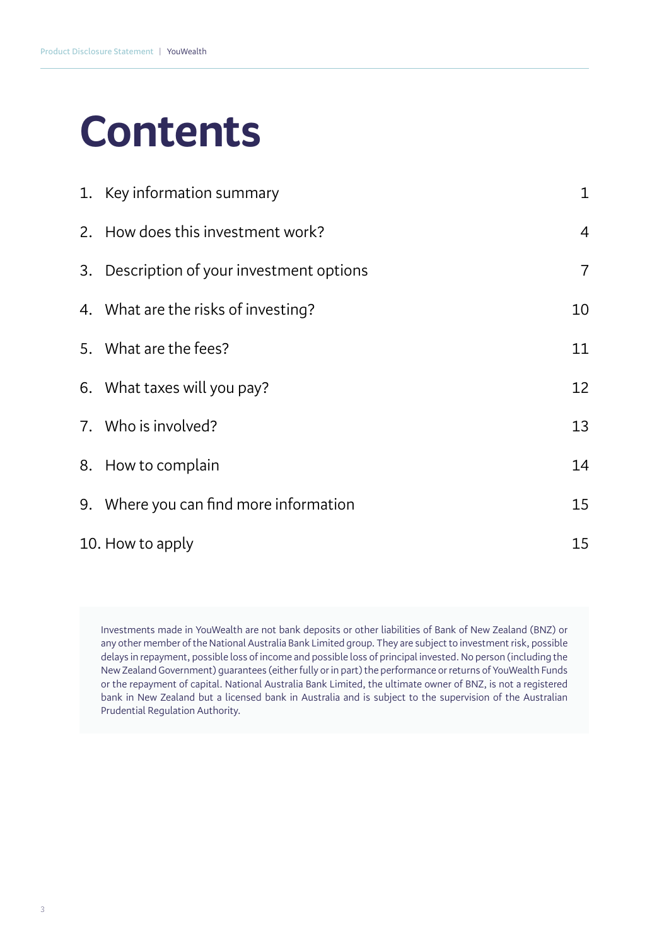# **Contents**

| 1. Key information summary                | $\mathbf 1$    |
|-------------------------------------------|----------------|
| 2. How does this investment work?         | $\overline{4}$ |
| 3. Description of your investment options | $\overline{7}$ |
| 4. What are the risks of investing?       | 10             |
| 5. What are the fees?                     | 11             |
| 6. What taxes will you pay?               | 12             |
| 7. Who is involved?                       | 13             |
| 8. How to complain                        | 14             |
| 9. Where you can find more information    | 15             |
| 10. How to apply                          | 15             |

Investments made in YouWealth are not bank deposits or other liabilities of Bank of New Zealand (BNZ) or any other member of the National Australia Bank Limited group. They are subject to investment risk, possible delays in repayment, possible loss of income and possible loss of principal invested. No person (including the New Zealand Government) guarantees (either fully or in part) the performance or returns of YouWealth Funds or the repayment of capital. National Australia Bank Limited, the ultimate owner of BNZ, is not a registered bank in New Zealand but a licensed bank in Australia and is subject to the supervision of the Australian Prudential Regulation Authority.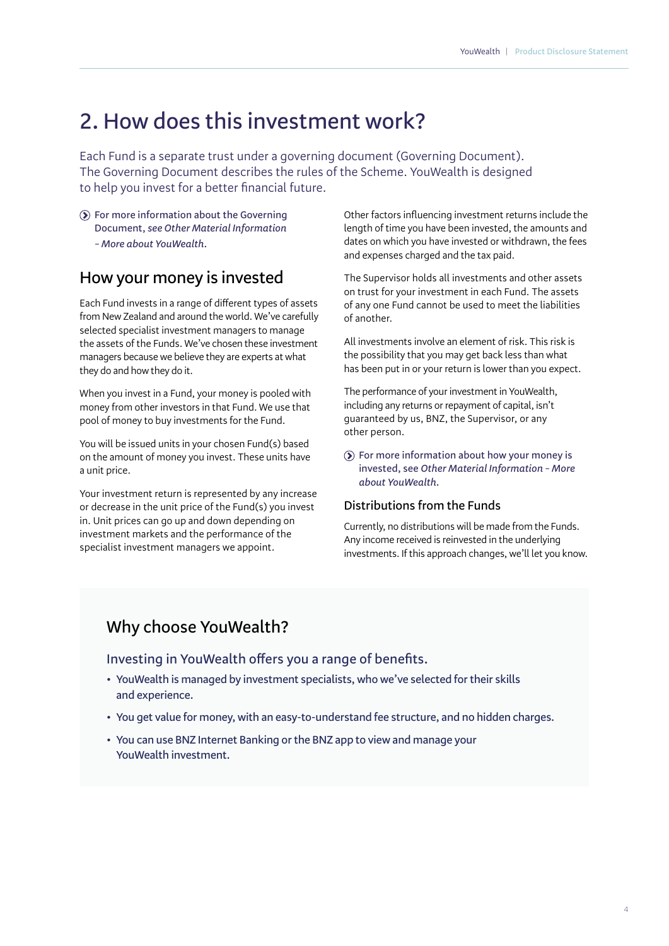## **2. How does this investment work?**

Each Fund is a separate trust under a governing document (Governing Document). The Governing Document describes the rules of the Scheme. YouWealth is designed to help you invest for a better financial future.

**For more information about the Governing Document,** *see Other Material Information – More about YouWealth.*

#### **How your money is invested**

Each Fund invests in a range of different types of assets from New Zealand and around the world. We've carefully selected specialist investment managers to manage the assets of the Funds. We've chosen these investment managers because we believe they are experts at what they do and how they do it.

When you invest in a Fund, your money is pooled with money from other investors in that Fund. We use that pool of money to buy investments for the Fund.

You will be issued units in your chosen Fund(s) based on the amount of money you invest. These units have a unit price.

Your investment return is represented by any increase or decrease in the unit price of the Fund(s) you invest in. Unit prices can go up and down depending on investment markets and the performance of the specialist investment managers we appoint.

Other factors influencing investment returns include the length of time you have been invested, the amounts and dates on which you have invested or withdrawn, the fees and expenses charged and the tax paid.

The Supervisor holds all investments and other assets on trust for your investment in each Fund. The assets of any one Fund cannot be used to meet the liabilities of another.

All investments involve an element of risk. This risk is the possibility that you may get back less than what has been put in or your return is lower than you expect.

The performance of your investment in YouWealth, including any returns or repayment of capital, isn't guaranteed by us, BNZ, the Supervisor, or any other person.

**For more information about how your money is invested, see** *Other Material Information – More about YouWealth.*

#### **Distributions from the Funds**

Currently, no distributions will be made from the Funds. Any income received is reinvested in the underlying investments. If this approach changes, we'll let you know.

### **Why choose YouWealth?**

**Investing in YouWealth offers you a range of benefits.**

- **• YouWealth is managed by investment specialists, who we've selected for their skills and experience.**
- **• You get value for money, with an easy-to-understand fee structure, and no hidden charges.**
- **• You can use BNZ Internet Banking or the BNZ app to view and manage your YouWealth investment.**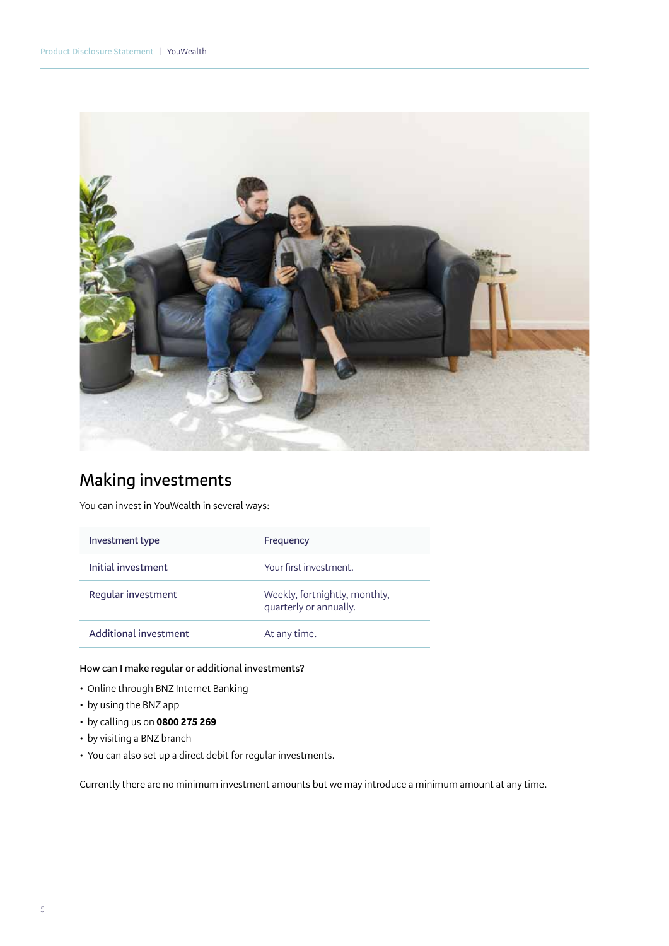

## **Making investments**

You can invest in YouWealth in several ways:

| Investment type       | Frequency                                               |
|-----------------------|---------------------------------------------------------|
| Initial investment    | Your first investment.                                  |
| Regular investment    | Weekly, fortnightly, monthly,<br>quarterly or annually. |
| Additional investment | At any time.                                            |

#### **How can I make regular or additional investments?**

- Online through BNZ Internet Banking
- by using the BNZ app
- by calling us on **0800 275 269**
- by visiting a BNZ branch
- You can also set up a direct debit for regular investments.

Currently there are no minimum investment amounts but we may introduce a minimum amount at any time.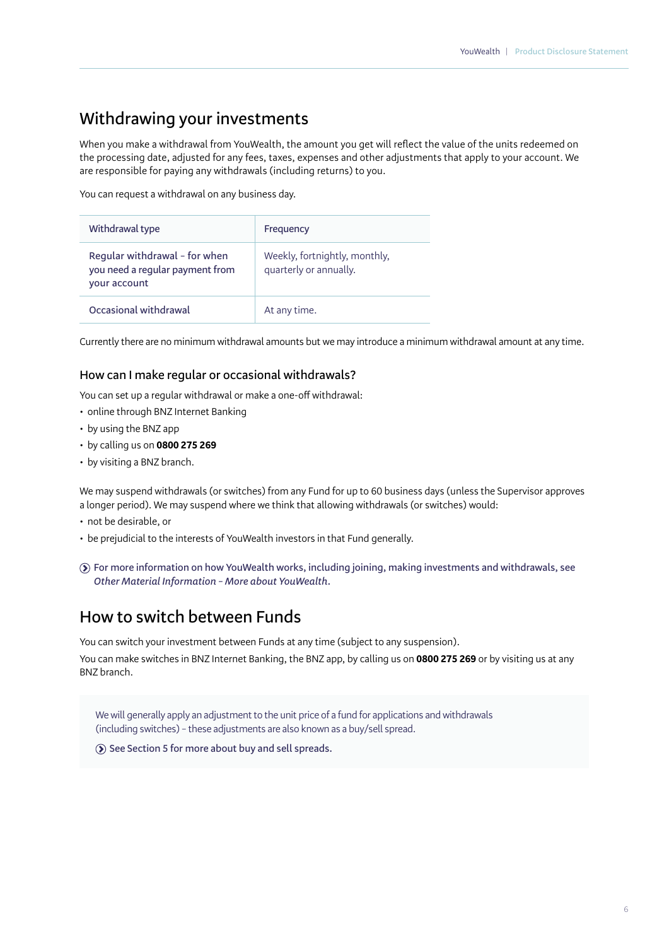## **Withdrawing your investments**

When you make a withdrawal from YouWealth, the amount you get will reflect the value of the units redeemed on the processing date, adjusted for any fees, taxes, expenses and other adjustments that apply to your account. We are responsible for paying any withdrawals (including returns) to you.

You can request a withdrawal on any business day.

| Withdrawal type                                                                  | Frequency                                               |
|----------------------------------------------------------------------------------|---------------------------------------------------------|
| Regular withdrawal - for when<br>you need a regular payment from<br>your account | Weekly, fortnightly, monthly,<br>quarterly or annually. |
| Occasional withdrawal                                                            | At any time.                                            |

Currently there are no minimum withdrawal amounts but we may introduce a minimum withdrawal amount at any time.

#### **How can I make regular or occasional withdrawals?**

You can set up a regular withdrawal or make a one-off withdrawal:

- online through BNZ Internet Banking
- by using the BNZ app
- by calling us on **0800 275 269**
- by visiting a BNZ branch.

We may suspend withdrawals (or switches) from any Fund for up to 60 business days (unless the Supervisor approves a longer period). We may suspend where we think that allowing withdrawals (or switches) would:

- not be desirable, or
- be prejudicial to the interests of YouWealth investors in that Fund generally.
- **For more information on how YouWealth works, including joining, making investments and withdrawals, see**  *Other Material Information – More about YouWealth.*

#### **How to switch between Funds**

You can switch your investment between Funds at any time (subject to any suspension).

You can make switches in BNZ Internet Banking, the BNZ app, by calling us on **0800 275 269** or by visiting us at any BNZ branch.

We will generally apply an adjustment to the unit price of a fund for applications and withdrawals (including switches) – these adjustments are also known as a buy/sell spread.

**See Section 5 for more about buy and sell spreads.**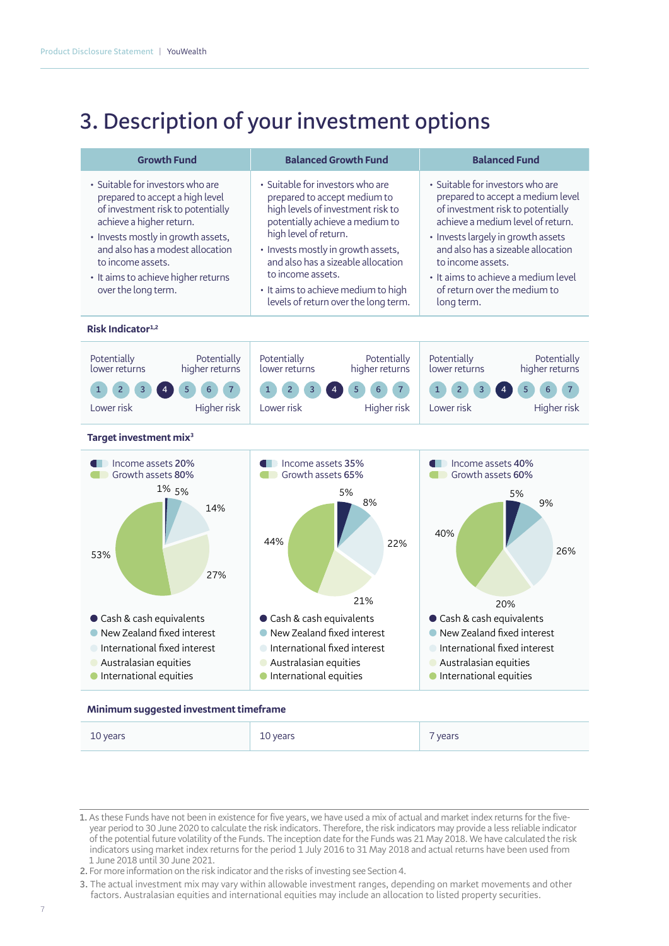# **3. Description of your investment options**

| <b>Growth Fund</b>                                                                                                                                                                                                                                                                                | <b>Balanced Growth Fund</b>                                                                                                                                                                                                                                                                                                                       | <b>Balanced Fund</b>                                                                                                                                                                                                                                                                                                                  |
|---------------------------------------------------------------------------------------------------------------------------------------------------------------------------------------------------------------------------------------------------------------------------------------------------|---------------------------------------------------------------------------------------------------------------------------------------------------------------------------------------------------------------------------------------------------------------------------------------------------------------------------------------------------|---------------------------------------------------------------------------------------------------------------------------------------------------------------------------------------------------------------------------------------------------------------------------------------------------------------------------------------|
| • Suitable for investors who are<br>prepared to accept a high level<br>of investment risk to potentially<br>achieve a higher return.<br>• Invests mostly in growth assets,<br>and also has a modest allocation<br>to income assets.<br>• It aims to achieve higher returns<br>over the long term. | • Suitable for investors who are<br>prepared to accept medium to<br>high levels of investment risk to<br>potentially achieve a medium to<br>high level of return.<br>• Invests mostly in growth assets,<br>and also has a sizeable allocation<br>to income assets.<br>• It aims to achieve medium to high<br>levels of return over the long term. | • Suitable for investors who are<br>prepared to accept a medium level<br>of investment risk to potentially<br>achieve a medium level of return.<br>• Invests largely in growth assets<br>and also has a sizeable allocation<br>to income assets.<br>. It aims to achieve a medium level<br>of return over the medium to<br>long term. |
| Risk Indicator $1,2$                                                                                                                                                                                                                                                                              |                                                                                                                                                                                                                                                                                                                                                   |                                                                                                                                                                                                                                                                                                                                       |





#### **Minimum suggested investment timeframe**

| 10 years | years<br>$ \sim$ | years |
|----------|------------------|-------|
|----------|------------------|-------|

**<sup>1.</sup>** As these Funds have not been in existence for five years, we have used a mix of actual and market index returns for the fiveyear period to 30 June 2020 to calculate the risk indicators. Therefore, the risk indicators may provide a less reliable indicator of the potential future volatility of the Funds. The inception date for the Funds was 21 May 2018. We have calculated the risk indicators using market index returns for the period 1 July 2016 to 31 May 2018 and actual returns have been used from 1 June 2018 until 30 June 2021.

**<sup>2.</sup>** For more information on the risk indicator and the risks of investing see Section 4.

**<sup>3.</sup>** The actual investment mix may vary within allowable investment ranges, depending on market movements and other factors. Australasian equities and international equities may include an allocation to listed property securities.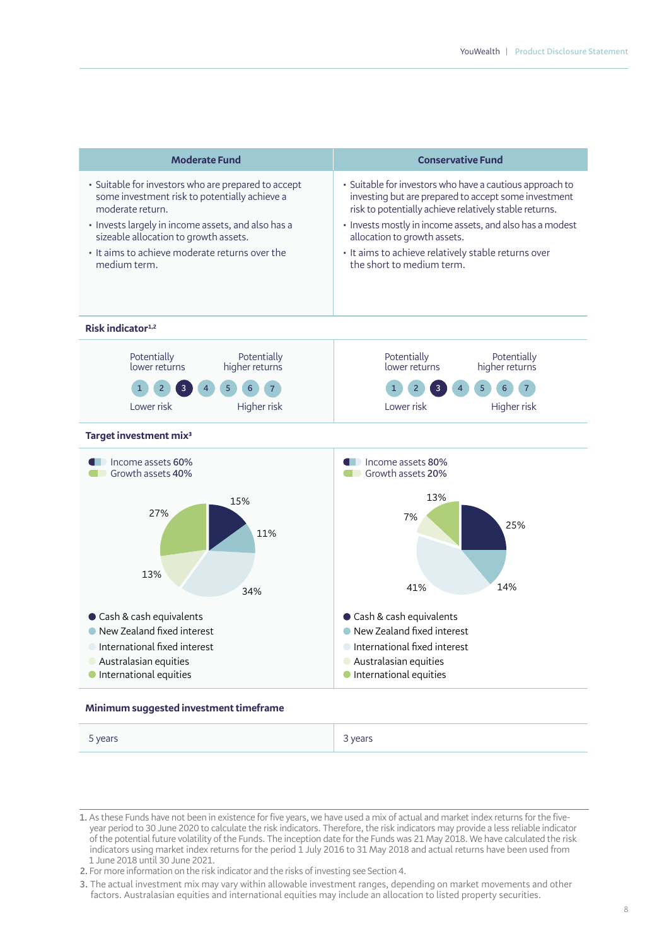| <b>Moderate Fund</b>                                                                                                        | <b>Conservative Fund</b>                                                                                          |  |
|-----------------------------------------------------------------------------------------------------------------------------|-------------------------------------------------------------------------------------------------------------------|--|
| · Suitable for investors who are prepared to accept                                                                         | · Suitable for investors who have a cautious approach to                                                          |  |
| some investment risk to potentially achieve a                                                                               | investing but are prepared to accept some investment                                                              |  |
| moderate return.                                                                                                            | risk to potentially achieve relatively stable returns.                                                            |  |
| · Invests largely in income assets, and also has a                                                                          | · Invests mostly in income assets, and also has a modest                                                          |  |
| sizeable allocation to growth assets.                                                                                       | allocation to growth assets.                                                                                      |  |
| • It aims to achieve moderate returns over the                                                                              | • It aims to achieve relatively stable returns over                                                               |  |
| medium term.                                                                                                                | the short to medium term.                                                                                         |  |
| Risk indicator $1,2$                                                                                                        |                                                                                                                   |  |
| Potentially<br>Potentially<br>higher returns<br>lower returns<br>5<br>6<br>3<br>$\overline{4}$<br>Lower risk<br>Higher risk | Potentially<br>Potentially<br>higher returns<br>lower returns<br>5<br>$\overline{4}$<br>Higher risk<br>Lower risk |  |
| Target investment mix <sup>3</sup>                                                                                          |                                                                                                                   |  |
| Income assets 60%                                                                                                           | Income assets 80%                                                                                                 |  |
| Growth assets 40%                                                                                                           | Growth assets 20%                                                                                                 |  |
| 15%                                                                                                                         | 13%                                                                                                               |  |
| 27%                                                                                                                         | 7%                                                                                                                |  |
| 11%                                                                                                                         | 25%                                                                                                               |  |
| 13%                                                                                                                         | 14%                                                                                                               |  |
| 34%                                                                                                                         | 41%                                                                                                               |  |
| Cash & cash equivalents                                                                                                     | Cash & cash equivalents                                                                                           |  |
| • New Zealand fixed interest                                                                                                | New Zealand fixed interest                                                                                        |  |
| International fixed interest                                                                                                | International fixed interest                                                                                      |  |
| Australasian equities                                                                                                       | Australasian equities                                                                                             |  |
| <b>International equities</b>                                                                                               | <b>International equities</b>                                                                                     |  |

#### **Minimum suggested investment timeframe**

| 5 years | $ $ 3 years |
|---------|-------------|
|         |             |

**<sup>1.</sup>** As these Funds have not been in existence for five years, we have used a mix of actual and market index returns for the fiveyear period to 30 June 2020 to calculate the risk indicators. Therefore, the risk indicators may provide a less reliable indicator of the potential future volatility of the Funds. The inception date for the Funds was 21 May 2018. We have calculated the risk indicators using market index returns for the period 1 July 2016 to 31 May 2018 and actual returns have been used from 1 June 2018 until 30 June 2021.

**<sup>2.</sup>** For more information on the risk indicator and the risks of investing see Section 4.

**<sup>3.</sup>** The actual investment mix may vary within allowable investment ranges, depending on market movements and other factors. Australasian equities and international equities may include an allocation to listed property securities.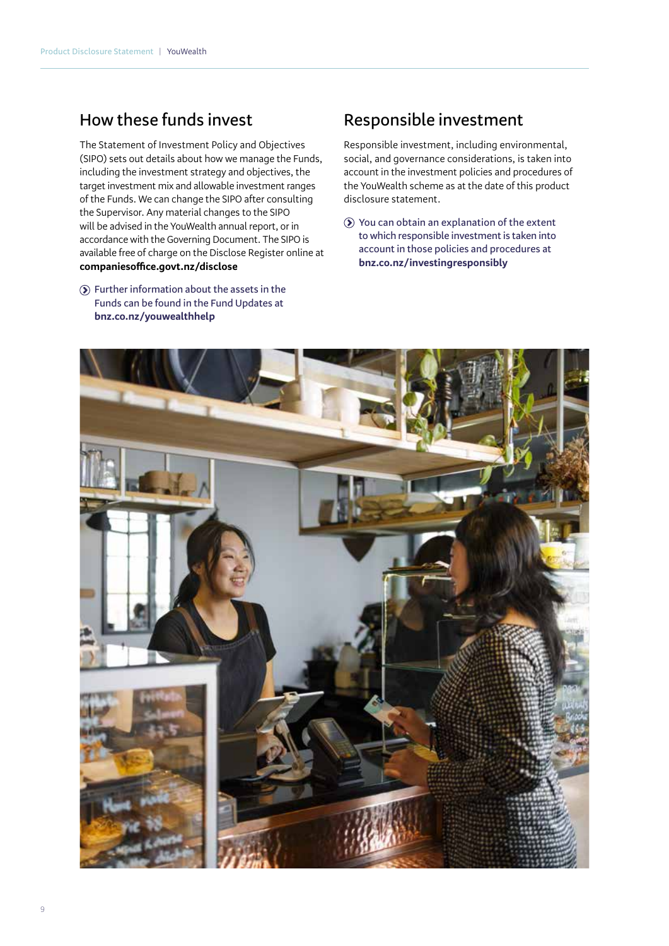### **How these funds invest**

The Statement of Investment Policy and Objectives (SIPO) sets out details about how we manage the Funds, including the investment strategy and objectives, the target investment mix and allowable investment ranges of the Funds. We can change the SIPO after consulting the Supervisor. Any material changes to the SIPO will be advised in the YouWealth annual report, or in accordance with the Governing Document. The SIPO is available free of charge on the Disclose Register online at **companiesoffice.govt.nz/disclose**

**Further information about the assets in the Funds can be found in the Fund Updates at bnz.co.nz/youwealthhelp**

### **Responsible investment**

Responsible investment, including environmental, social, and governance considerations, is taken into account in the investment policies and procedures of the YouWealth scheme as at the date of this product disclosure statement.

**You can obtain an explanation of the extent to which responsible investment is taken into account in those policies and procedures at bnz.co.nz/investingresponsibly**

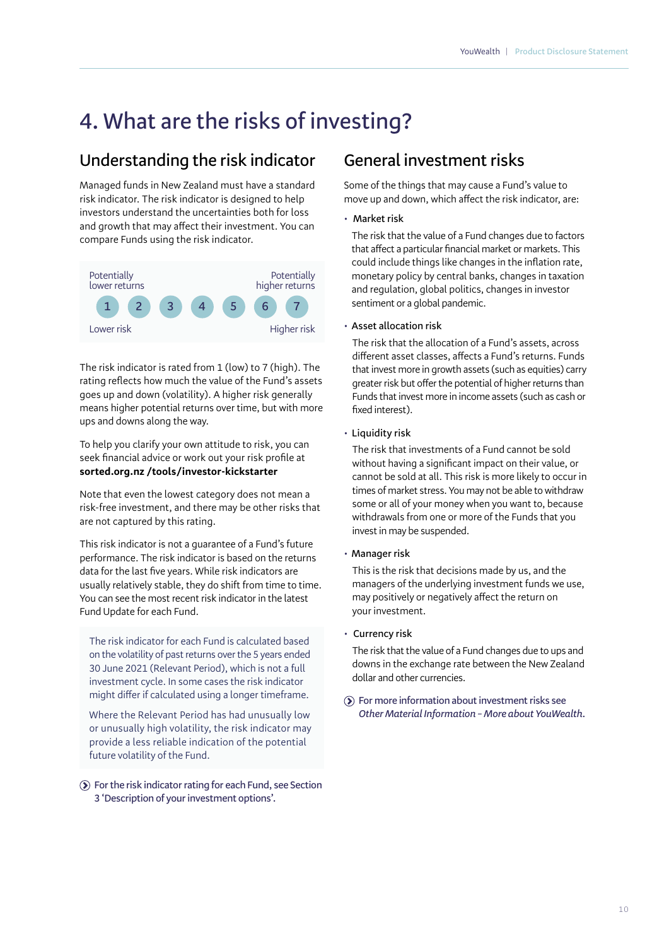# **4. What are the risks of investing?**

### **Understanding the risk indicator**

Managed funds in New Zealand must have a standard risk indicator. The risk indicator is designed to help investors understand the uncertainties both for loss and growth that may affect their investment. You can compare Funds using the risk indicator.



The risk indicator is rated from 1 (low) to 7 (high). The rating reflects how much the value of the Fund's assets goes up and down (volatility). A higher risk generally means higher potential returns over time, but with more ups and downs along the way.

To help you clarify your own attitude to risk, you can seek financial advice or work out your risk profile at **sorted.org.nz /tools/investor-kickstarter** 

Note that even the lowest category does not mean a risk-free investment, and there may be other risks that are not captured by this rating.

This risk indicator is not a guarantee of a Fund's future performance. The risk indicator is based on the returns data for the last five years. While risk indicators are usually relatively stable, they do shift from time to time. You can see the most recent risk indicator in the latest Fund Update for each Fund.

The risk indicator for each Fund is calculated based on the volatility of past returns over the 5 years ended 30 June 2021 (Relevant Period), which is not a full investment cycle. In some cases the risk indicator might differ if calculated using a longer timeframe.

Where the Relevant Period has had unusually low or unusually high volatility, the risk indicator may provide a less reliable indication of the potential future volatility of the Fund.

#### **For the risk indicator rating for each Fund, see Section 3 'Description of your investment options'.**

### **General investment risks**

Some of the things that may cause a Fund's value to move up and down, which affect the risk indicator, are:

• **Market risk** 

The risk that the value of a Fund changes due to factors that affect a particular financial market or markets. This could include things like changes in the inflation rate, monetary policy by central banks, changes in taxation and regulation, global politics, changes in investor sentiment or a global pandemic.

#### • **Asset allocation risk**

The risk that the allocation of a Fund's assets, across different asset classes, affects a Fund's returns. Funds that invest more in growth assets (such as equities) carry greater risk but offer the potential of higher returns than Funds that invest more in income assets (such as cash or fixed interest).

#### • **Liquidity risk**

The risk that investments of a Fund cannot be sold without having a significant impact on their value, or cannot be sold at all. This risk is more likely to occur in times of market stress. You may not be able to withdraw some or all of your money when you want to, because withdrawals from one or more of the Funds that you invest in may be suspended.

#### • **Manager risk**

This is the risk that decisions made by us, and the managers of the underlying investment funds we use, may positively or negatively affect the return on your investment.

#### • **Currency risk**

The risk that the value of a Fund changes due to ups and downs in the exchange rate between the New Zealand dollar and other currencies.

**For more information about investment risks see**  *Other Material Information – More about YouWealth***.**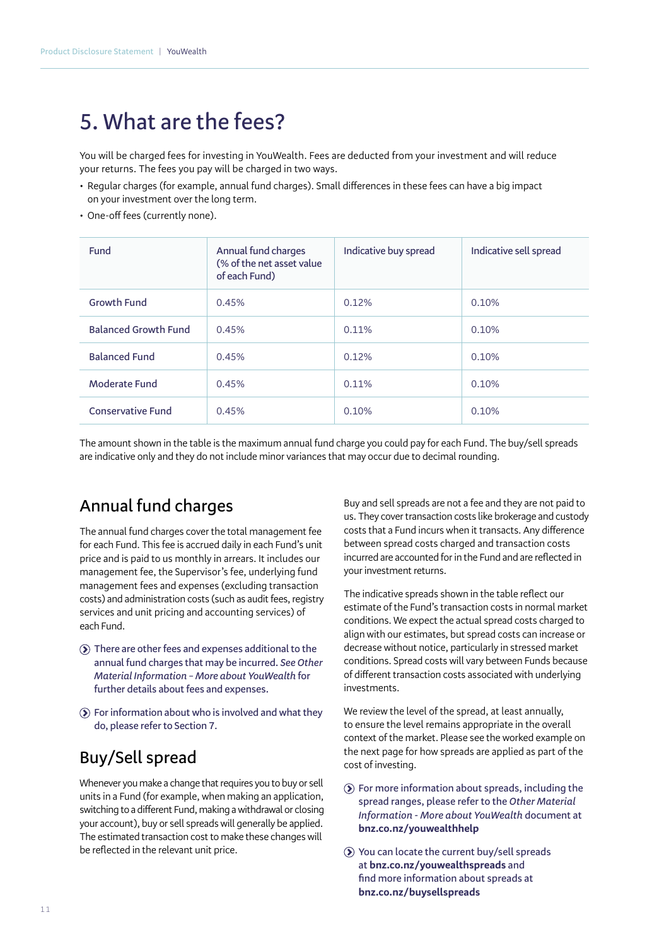## **5. What are the fees?**

You will be charged fees for investing in YouWealth. Fees are deducted from your investment and will reduce your returns. The fees you pay will be charged in two ways.

- Regular charges (for example, annual fund charges). Small differences in these fees can have a big impact on your investment over the long term.
- One-off fees (currently none).

| <b>Fund</b>                 | Annual fund charges<br>(% of the net asset value<br>of each Fund) | Indicative buy spread | Indicative sell spread |
|-----------------------------|-------------------------------------------------------------------|-----------------------|------------------------|
| <b>Growth Fund</b>          | 0.45%                                                             | 0.12%                 | 0.10%                  |
| <b>Balanced Growth Fund</b> | 0.45%                                                             | $0.11\%$              | 0.10%                  |
| <b>Balanced Fund</b>        | 0.45%                                                             | 0.12%                 | 0.10%                  |
| Moderate Fund               | 0.45%                                                             | 0.11%                 | 0.10%                  |
| <b>Conservative Fund</b>    | 0.45%                                                             | 0.10%                 | 0.10%                  |

The amount shown in the table is the maximum annual fund charge you could pay for each Fund. The buy/sell spreads are indicative only and they do not include minor variances that may occur due to decimal rounding.

## **Annual fund charges**

The annual fund charges cover the total management fee for each Fund. This fee is accrued daily in each Fund's unit price and is paid to us monthly in arrears. It includes our management fee, the Supervisor's fee, underlying fund management fees and expenses (excluding transaction costs) and administration costs (such as audit fees, registry services and unit pricing and accounting services) of each Fund.

- **There are other fees and expenses additional to the annual fund charges that may be incurred.** *See Other Material Information – More about YouWealth* **for further details about fees and expenses.**
- **For information about who is involved and what they do, please refer to Section 7.**

#### **Buy/Sell spread**

Whenever you make a change that requires you to buy or sell units in a Fund (for example, when making an application, switching to a different Fund, making a withdrawal or closing your account), buy or sell spreads will generally be applied. The estimated transaction cost to make these changes will be reflected in the relevant unit price.

Buy and sell spreads are not a fee and they are not paid to us. They cover transaction costs like brokerage and custody costs that a Fund incurs when it transacts. Any difference between spread costs charged and transaction costs incurred are accounted for in the Fund and are reflected in your investment returns.

The indicative spreads shown in the table reflect our estimate of the Fund's transaction costs in normal market conditions. We expect the actual spread costs charged to align with our estimates, but spread costs can increase or decrease without notice, particularly in stressed market conditions. Spread costs will vary between Funds because of different transaction costs associated with underlying investments.

We review the level of the spread, at least annually, to ensure the level remains appropriate in the overall context of the market. Please see the worked example on the next page for how spreads are applied as part of the cost of investing.

- **For more information about spreads, including the spread ranges, please refer to the** *Other Material Information - More about YouWealth* **document at bnz.co.nz/youwealthhelp**
- **You can locate the current buy/sell spreads at bnz.co.nz/youwealthspreads and find more information about spreads at bnz.co.nz/buysellspreads**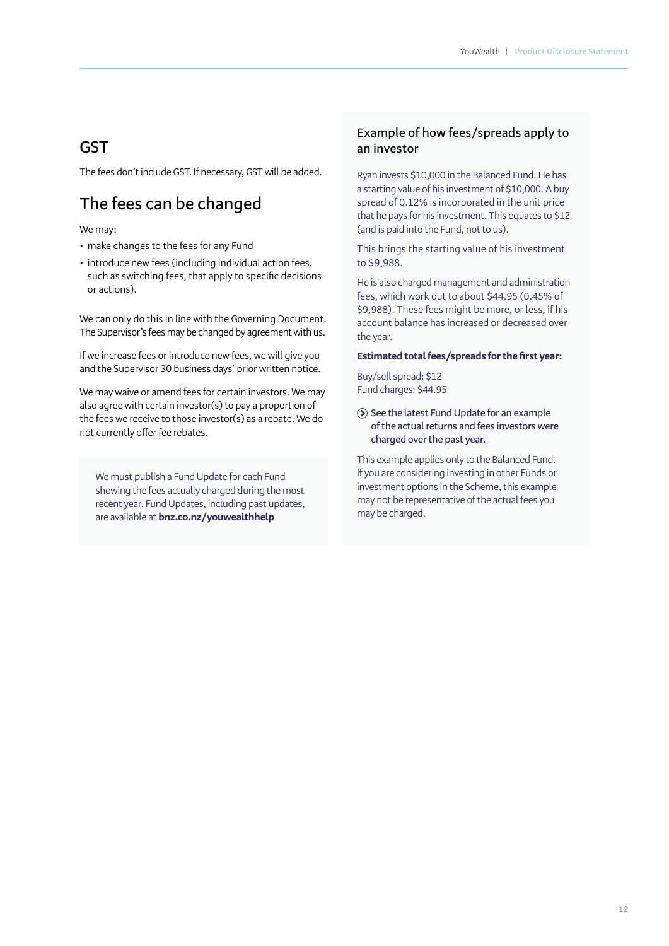#### **GST**

The fees don't include GST. If necessary, GST will be added.

## **The fees can be changed**

#### We may:

- make changes to the fees for any Fund
- introduce new fees (including individual action fees, such as switching fees, that apply to specific decisions or actions).

We can only do this in line with the Governing Document. The Supervisor's fees may be changed by agreement with us.

If we increase fees or introduce new fees, we will give you and the Supervisor 30 business days' prior written notice.

We may waive or amend fees for certain investors. We may also agree with certain investor(s) to pay a proportion of the fees we receive to those investor(s) as a rebate. We do not currently offer fee rebates.

We must publish a Fund Update for each Fund showing the fees actually charged during the most recent year. Fund Updates, including past updates, are available at **bnz.co.nz/youwealthhelp**

#### **Example of how fees/spreads apply to an investor**

Ryan invests \$10,000 in the Balanced Fund. He has a starting value of his investment of \$10,000. A buy spread of 0.12% is incorporated in the unit price that he pays for his investment. This equates to \$12 (and is paid into the Fund, not to us).

This brings the starting value of his investment to \$9,988.

He is also charged management and administration fees, which work out to about \$44.95 (0.45% of \$9,988). These fees might be more, or less, if his account balance has increased or decreased over the year.

#### **Estimated total fees/spreads for the first year:**

Buy/sell spread: \$12 Fund charges: \$44.95

**See the latest Fund Update for an example of the actual returns and fees investors were charged over the past year.**

This example applies only to the Balanced Fund. If you are considering investing in other Funds or investment options in the Scheme, this example may not be representative of the actual fees you may be charged.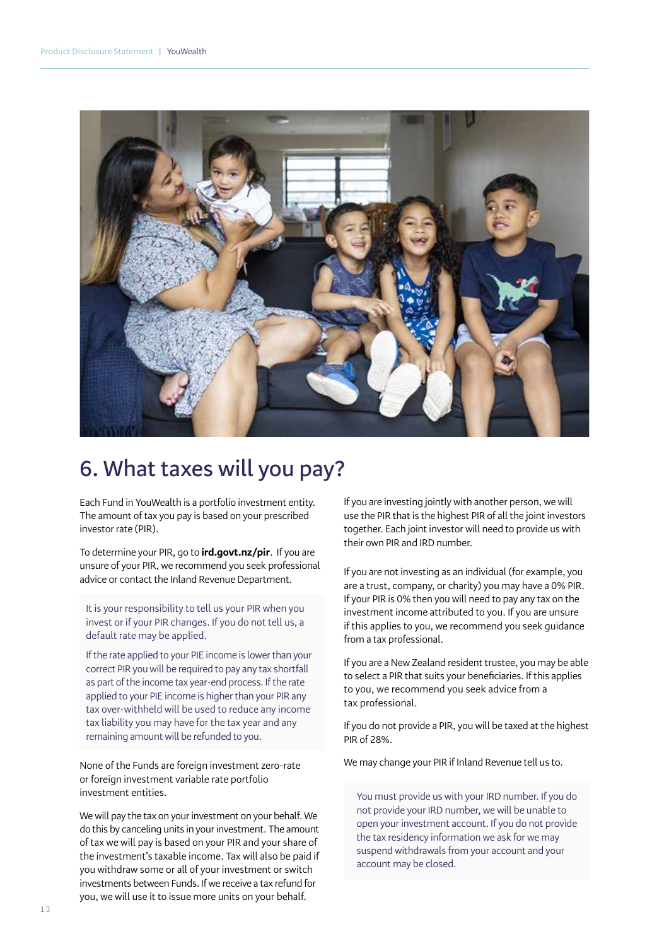

# **6. What taxes will you pay?**

Each Fund in YouWealth is a portfolio investment entity. The amount of tax you pay is based on your prescribed investor rate (PIR).

To determine your PIR, go to **ird.govt.nz/pir**. If you are unsure of your PIR, we recommend you seek professional advice or contact the Inland Revenue Department.

It is your responsibility to tell us your PIR when you invest or if your PIR changes. If you do not tell us, a default rate may be applied.

If the rate applied to your PIE income is lower than your correct PIR you will be required to pay any tax shortfall as part of the income tax year-end process. If the rate applied to your PIE income is higher than your PIR any tax over-withheld will be used to reduce any income tax liability you may have for the tax year and any remaining amount will be refunded to you.

None of the Funds are foreign investment zero-rate or foreign investment variable rate portfolio investment entities.

We will pay the tax on your investment on your behalf. We do this by canceling units in your investment. The amount of tax we will pay is based on your PIR and your share of the investment's taxable income. Tax will also be paid if you withdraw some or all of your investment or switch investments between Funds. If we receive a tax refund for you, we will use it to issue more units on your behalf.

If you are investing jointly with another person, we will use the PIR that is the highest PIR of all the joint investors together. Each joint investor will need to provide us with their own PIR and IRD number.

If you are not investing as an individual (for example, you are a trust, company, or charity) you may have a 0% PIR. If your PIR is 0% then you will need to pay any tax on the investment income attributed to you. If you are unsure if this applies to you, we recommend you seek guidance from a tax professional.

If you are a New Zealand resident trustee, you may be able to select a PIR that suits your beneficiaries. If this applies to you, we recommend you seek advice from a tax professional.

If you do not provide a PIR, you will be taxed at the highest PIR of 28%.

We may change your PIR if Inland Revenue tell us to.

You must provide us with your IRD number. If you do not provide your IRD number, we will be unable to open your investment account. If you do not provide the tax residency information we ask for we may suspend withdrawals from your account and your account may be closed.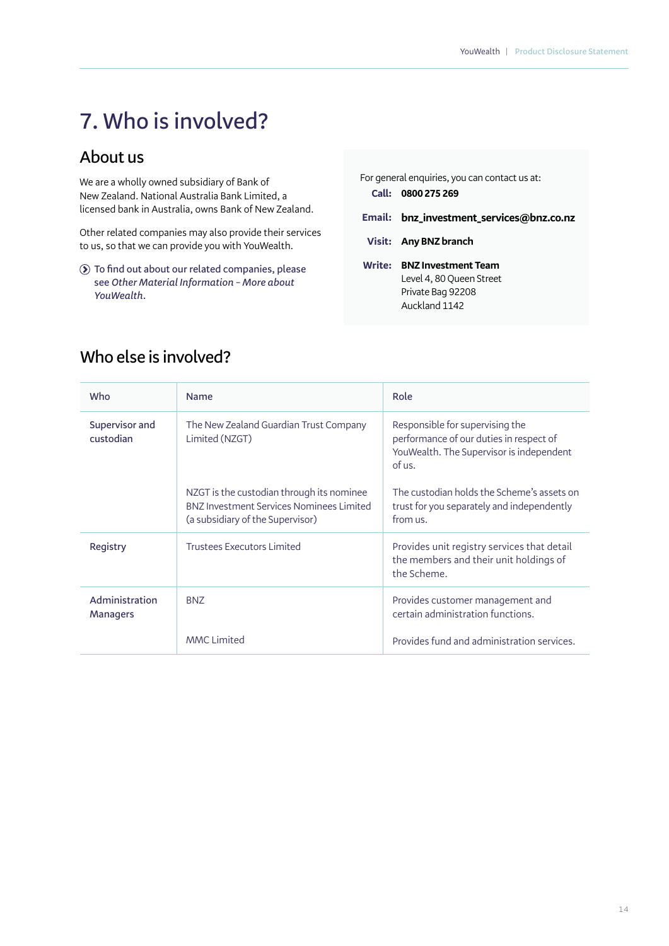# **7. Who is involved?**

## **About us**

We are a wholly owned subsidiary of Bank of New Zealand. National Australia Bank Limited, a licensed bank in Australia, owns Bank of New Zealand.

Other related companies may also provide their services to us, so that we can provide you with YouWealth.

**To find out about our related companies, please see** *Other Material Information – More about YouWealth.*

|        | For general enquiries, you can contact us at:<br>Call: 0800 275 269                          |
|--------|----------------------------------------------------------------------------------------------|
| Email: | bnz_investment_services@bnz.co.nz                                                            |
|        | Visit: Any BNZ branch                                                                        |
| Write: | <b>BNZ Investment Team</b><br>Level 4, 80 Queen Street<br>Private Bag 92208<br>Auckland 1142 |

| Who                               | <b>Name</b>                                                                                                                      | Role                                                                                                                             |
|-----------------------------------|----------------------------------------------------------------------------------------------------------------------------------|----------------------------------------------------------------------------------------------------------------------------------|
| Supervisor and<br>custodian       | The New Zealand Guardian Trust Company<br>Limited (NZGT)                                                                         | Responsible for supervising the<br>performance of our duties in respect of<br>YouWealth. The Supervisor is independent<br>of us. |
|                                   | NZGT is the custodian through its nominee<br><b>BNZ Investment Services Nominees Limited</b><br>(a subsidiary of the Supervisor) | The custodian holds the Scheme's assets on<br>trust for you separately and independently<br>from us.                             |
| Registry                          | <b>Trustees Executors Limited</b>                                                                                                | Provides unit registry services that detail<br>the members and their unit holdings of<br>the Scheme.                             |
| Administration<br><b>Managers</b> | <b>BNZ</b>                                                                                                                       | Provides customer management and<br>certain administration functions.                                                            |
|                                   | <b>MMC Limited</b>                                                                                                               | Provides fund and administration services.                                                                                       |

## **Who else is involved?**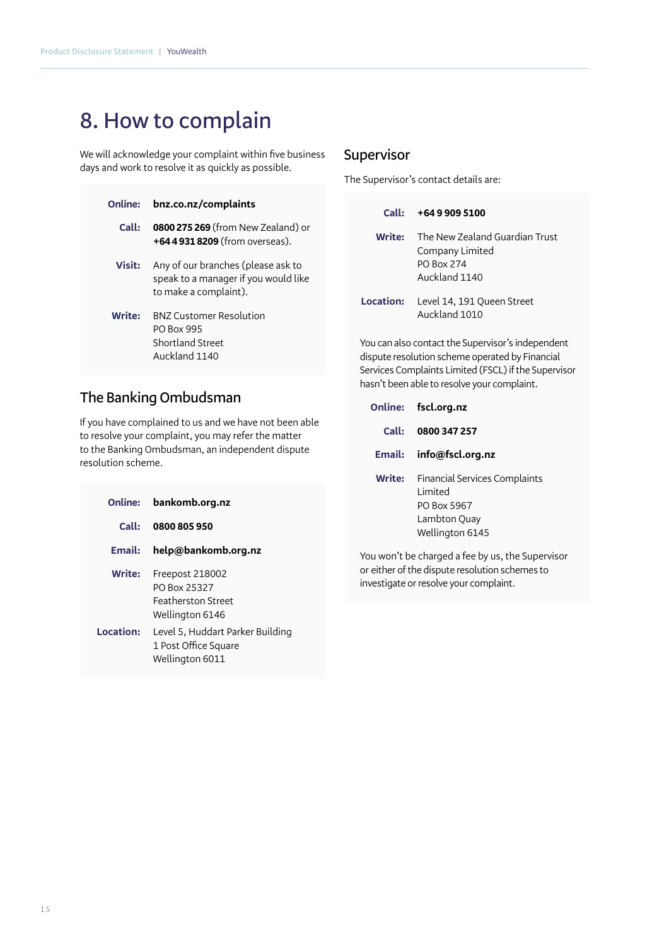# **8. How to complain**

We will acknowledge your complaint within five business days and work to resolve it as quickly as possible.

| Online:       | bnz.co.nz/complaints                                                                                |
|---------------|-----------------------------------------------------------------------------------------------------|
| Call:         | <b>0800 275 269</b> (from New Zealand) or<br>+64 4 931 8209 (from overseas).                        |
| <b>Visit:</b> | Any of our branches (please ask to<br>speak to a manager if you would like<br>to make a complaint). |
| <b>Write:</b> | <b>BNZ Customer Resolution</b><br><b>PO Box 995</b><br>Shortland Street<br>Auckland 1140            |

#### **The Banking Ombudsman**

If you have complained to us and we have not been able to resolve your complaint, you may refer the matter to the Banking Ombudsman, an independent dispute resolution scheme.

|           | Online: bankomb.org.nz                                                          |
|-----------|---------------------------------------------------------------------------------|
| Call:     | 0800 805 950                                                                    |
| Email:    | help@bankomb.org.nz                                                             |
| Write:    | Freepost 218002<br>PO Box 25327<br><b>Featherston Street</b><br>Wellington 6146 |
| Location: | Level 5, Huddart Parker Building<br>1 Post Office Square<br>Wellington 6011     |

#### **Supervisor**

The Supervisor's contact details are:

| Call:    | +64 9 909 5100                                                                          |
|----------|-----------------------------------------------------------------------------------------|
| Write: l | The New Zealand Guardian Trust<br>Company Limited<br><b>PO Box 274</b><br>Auckland 1140 |
|          | <b>Location:</b> Level 14, 191 Queen Street<br>Auckland 1010                            |

You can also contact the Supervisor's independent dispute resolution scheme operated by Financial Services Complaints Limited (FSCL) if the Supervisor hasn't been able to resolve your complaint.

|         | Online: fscl.org.nz                                                                                       |
|---------|-----------------------------------------------------------------------------------------------------------|
| Call: L | 0800 347 257                                                                                              |
|         | Email: info@fscl.org.nz                                                                                   |
| Write:  | <b>Financial Services Complaints</b><br>I imited<br><b>PO Box 5967</b><br>Lambton Quay<br>Wellington 6145 |

You won't be charged a fee by us, the Supervisor or either of the dispute resolution schemes to investigate or resolve your complaint.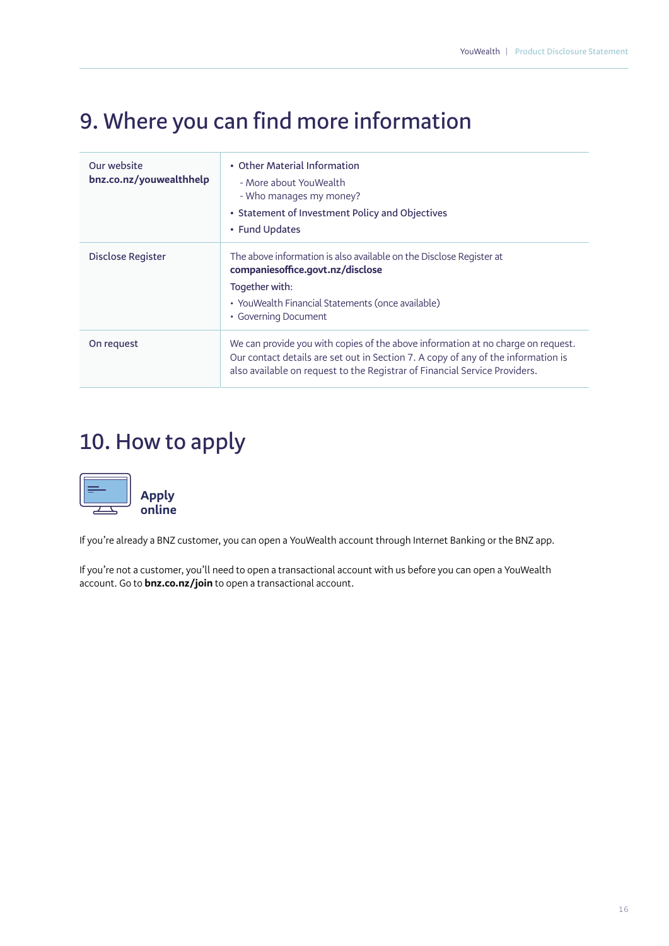# **9. Where you can find more information**

| Our website<br>bnz.co.nz/youwealthhelp | • Other Material Information<br>- More about YouWealth<br>- Who manages my money?<br>• Statement of Investment Policy and Objectives<br>• Fund Updates                                                                                              |
|----------------------------------------|-----------------------------------------------------------------------------------------------------------------------------------------------------------------------------------------------------------------------------------------------------|
| Disclose Register                      | The above information is also available on the Disclose Register at<br>companiesoffice.govt.nz/disclose<br>Together with:<br>• YouWealth Financial Statements (once available)<br>• Governing Document                                              |
| On request                             | We can provide you with copies of the above information at no charge on request.<br>Our contact details are set out in Section 7. A copy of any of the information is<br>also available on request to the Registrar of Financial Service Providers. |

# **10. How to apply**



If you're already a BNZ customer, you can open a YouWealth account through Internet Banking or the BNZ app.

If you're not a customer, you'll need to open a transactional account with us before you can open a YouWealth account. Go to **bnz.co.nz/join** to open a transactional account.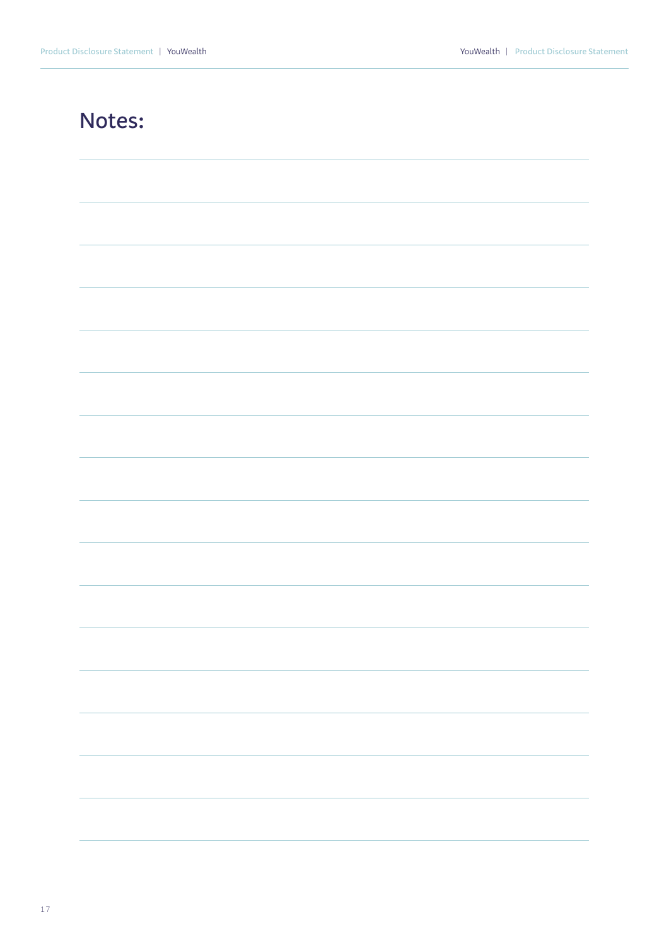## **Notes:**